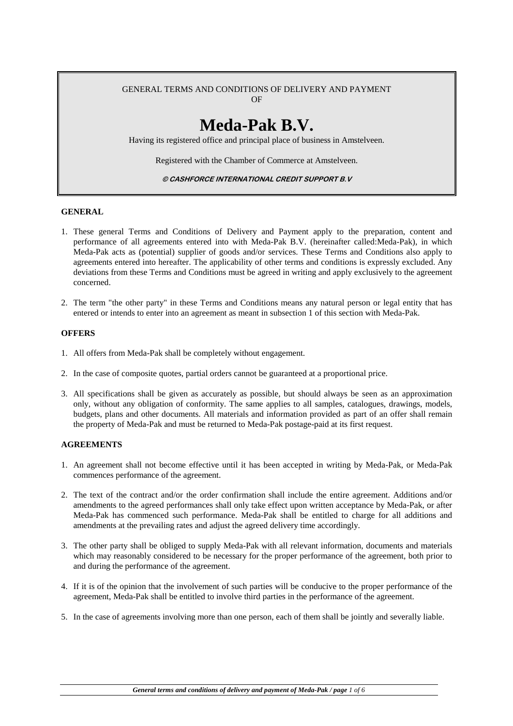#### GENERAL TERMS AND CONDITIONS OF DELIVERY AND PAYMENT OF

# **Meda-Pak B.V.**

Having its registered office and principal place of business in Amstelveen.

Registered with the Chamber of Commerce at Amstelveen.

© CASHFORCE INTERNATIONAL CREDIT SUPPORT B.V

## **GENERAL**

- 1. These general Terms and Conditions of Delivery and Payment apply to the preparation, content and performance of all agreements entered into with Meda-Pak B.V. (hereinafter called:Meda-Pak), in which Meda-Pak acts as (potential) supplier of goods and/or services. These Terms and Conditions also apply to agreements entered into hereafter. The applicability of other terms and conditions is expressly excluded. Any deviations from these Terms and Conditions must be agreed in writing and apply exclusively to the agreement concerned.
- 2. The term "the other party" in these Terms and Conditions means any natural person or legal entity that has entered or intends to enter into an agreement as meant in subsection 1 of this section with Meda-Pak.

## **OFFERS**

- 1. All offers from Meda-Pak shall be completely without engagement.
- 2. In the case of composite quotes, partial orders cannot be guaranteed at a proportional price.
- 3. All specifications shall be given as accurately as possible, but should always be seen as an approximation only, without any obligation of conformity. The same applies to all samples, catalogues, drawings, models, budgets, plans and other documents. All materials and information provided as part of an offer shall remain the property of Meda-Pak and must be returned to Meda-Pak postage-paid at its first request.

## **AGREEMENTS**

- 1. An agreement shall not become effective until it has been accepted in writing by Meda-Pak, or Meda-Pak commences performance of the agreement.
- 2. The text of the contract and/or the order confirmation shall include the entire agreement. Additions and/or amendments to the agreed performances shall only take effect upon written acceptance by Meda-Pak, or after Meda-Pak has commenced such performance. Meda-Pak shall be entitled to charge for all additions and amendments at the prevailing rates and adjust the agreed delivery time accordingly.
- 3. The other party shall be obliged to supply Meda-Pak with all relevant information, documents and materials which may reasonably considered to be necessary for the proper performance of the agreement, both prior to and during the performance of the agreement.
- 4. If it is of the opinion that the involvement of such parties will be conducive to the proper performance of the agreement, Meda-Pak shall be entitled to involve third parties in the performance of the agreement.
- 5. In the case of agreements involving more than one person, each of them shall be jointly and severally liable.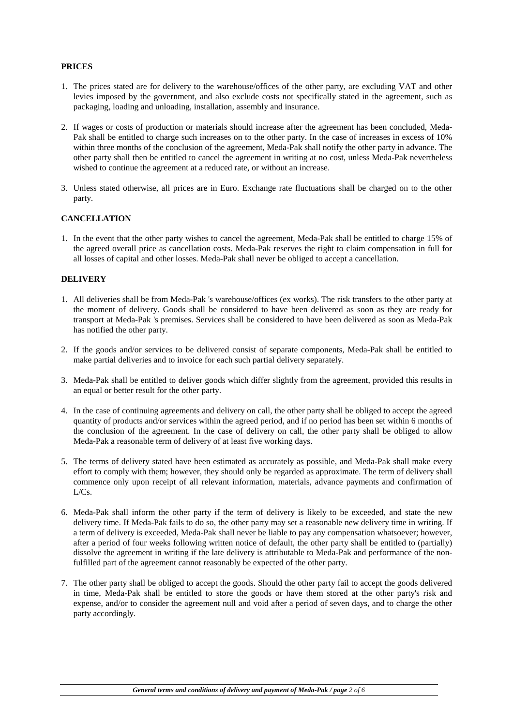## **PRICES**

- 1. The prices stated are for delivery to the warehouse/offices of the other party, are excluding VAT and other levies imposed by the government, and also exclude costs not specifically stated in the agreement, such as packaging, loading and unloading, installation, assembly and insurance.
- 2. If wages or costs of production or materials should increase after the agreement has been concluded, Meda-Pak shall be entitled to charge such increases on to the other party. In the case of increases in excess of 10% within three months of the conclusion of the agreement, Meda-Pak shall notify the other party in advance. The other party shall then be entitled to cancel the agreement in writing at no cost, unless Meda-Pak nevertheless wished to continue the agreement at a reduced rate, or without an increase.
- 3. Unless stated otherwise, all prices are in Euro. Exchange rate fluctuations shall be charged on to the other party.

## **CANCELLATION**

1. In the event that the other party wishes to cancel the agreement, Meda-Pak shall be entitled to charge 15% of the agreed overall price as cancellation costs. Meda-Pak reserves the right to claim compensation in full for all losses of capital and other losses. Meda-Pak shall never be obliged to accept a cancellation.

## **DELIVERY**

- 1. All deliveries shall be from Meda-Pak 's warehouse/offices (ex works). The risk transfers to the other party at the moment of delivery. Goods shall be considered to have been delivered as soon as they are ready for transport at Meda-Pak 's premises. Services shall be considered to have been delivered as soon as Meda-Pak has notified the other party.
- 2. If the goods and/or services to be delivered consist of separate components, Meda-Pak shall be entitled to make partial deliveries and to invoice for each such partial delivery separately.
- 3. Meda-Pak shall be entitled to deliver goods which differ slightly from the agreement, provided this results in an equal or better result for the other party.
- 4. In the case of continuing agreements and delivery on call, the other party shall be obliged to accept the agreed quantity of products and/or services within the agreed period, and if no period has been set within 6 months of the conclusion of the agreement. In the case of delivery on call, the other party shall be obliged to allow Meda-Pak a reasonable term of delivery of at least five working days.
- 5. The terms of delivery stated have been estimated as accurately as possible, and Meda-Pak shall make every effort to comply with them; however, they should only be regarded as approximate. The term of delivery shall commence only upon receipt of all relevant information, materials, advance payments and confirmation of  $L/Cs$ .
- 6. Meda-Pak shall inform the other party if the term of delivery is likely to be exceeded, and state the new delivery time. If Meda-Pak fails to do so, the other party may set a reasonable new delivery time in writing. If a term of delivery is exceeded, Meda-Pak shall never be liable to pay any compensation whatsoever; however, after a period of four weeks following written notice of default, the other party shall be entitled to (partially) dissolve the agreement in writing if the late delivery is attributable to Meda-Pak and performance of the nonfulfilled part of the agreement cannot reasonably be expected of the other party.
- 7. The other party shall be obliged to accept the goods. Should the other party fail to accept the goods delivered in time, Meda-Pak shall be entitled to store the goods or have them stored at the other party's risk and expense, and/or to consider the agreement null and void after a period of seven days, and to charge the other party accordingly.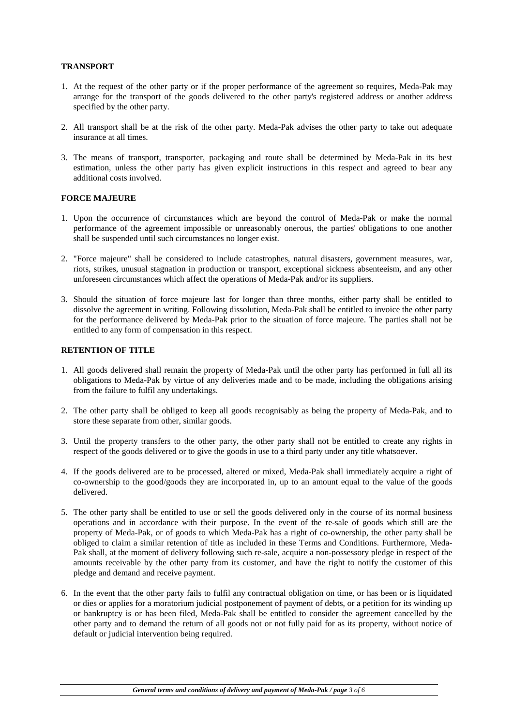## **TRANSPORT**

- 1. At the request of the other party or if the proper performance of the agreement so requires, Meda-Pak may arrange for the transport of the goods delivered to the other party's registered address or another address specified by the other party.
- 2. All transport shall be at the risk of the other party. Meda-Pak advises the other party to take out adequate insurance at all times.
- 3. The means of transport, transporter, packaging and route shall be determined by Meda-Pak in its best estimation, unless the other party has given explicit instructions in this respect and agreed to bear any additional costs involved.

#### **FORCE MAJEURE**

- 1. Upon the occurrence of circumstances which are beyond the control of Meda-Pak or make the normal performance of the agreement impossible or unreasonably onerous, the parties' obligations to one another shall be suspended until such circumstances no longer exist.
- 2. "Force majeure" shall be considered to include catastrophes, natural disasters, government measures, war, riots, strikes, unusual stagnation in production or transport, exceptional sickness absenteeism, and any other unforeseen circumstances which affect the operations of Meda-Pak and/or its suppliers.
- 3. Should the situation of force majeure last for longer than three months, either party shall be entitled to dissolve the agreement in writing. Following dissolution, Meda-Pak shall be entitled to invoice the other party for the performance delivered by Meda-Pak prior to the situation of force majeure. The parties shall not be entitled to any form of compensation in this respect.

#### **RETENTION OF TITLE**

- 1. All goods delivered shall remain the property of Meda-Pak until the other party has performed in full all its obligations to Meda-Pak by virtue of any deliveries made and to be made, including the obligations arising from the failure to fulfil any undertakings.
- 2. The other party shall be obliged to keep all goods recognisably as being the property of Meda-Pak, and to store these separate from other, similar goods.
- 3. Until the property transfers to the other party, the other party shall not be entitled to create any rights in respect of the goods delivered or to give the goods in use to a third party under any title whatsoever.
- 4. If the goods delivered are to be processed, altered or mixed, Meda-Pak shall immediately acquire a right of co-ownership to the good/goods they are incorporated in, up to an amount equal to the value of the goods delivered.
- 5. The other party shall be entitled to use or sell the goods delivered only in the course of its normal business operations and in accordance with their purpose. In the event of the re-sale of goods which still are the property of Meda-Pak, or of goods to which Meda-Pak has a right of co-ownership, the other party shall be obliged to claim a similar retention of title as included in these Terms and Conditions. Furthermore, Meda-Pak shall, at the moment of delivery following such re-sale, acquire a non-possessory pledge in respect of the amounts receivable by the other party from its customer, and have the right to notify the customer of this pledge and demand and receive payment.
- 6. In the event that the other party fails to fulfil any contractual obligation on time, or has been or is liquidated or dies or applies for a moratorium judicial postponement of payment of debts, or a petition for its winding up or bankruptcy is or has been filed, Meda-Pak shall be entitled to consider the agreement cancelled by the other party and to demand the return of all goods not or not fully paid for as its property, without notice of default or judicial intervention being required.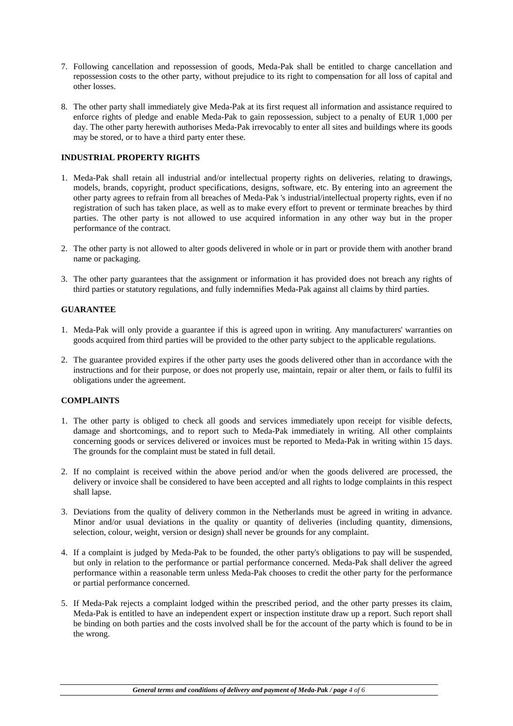- 7. Following cancellation and repossession of goods, Meda-Pak shall be entitled to charge cancellation and repossession costs to the other party, without prejudice to its right to compensation for all loss of capital and other losses.
- 8. The other party shall immediately give Meda-Pak at its first request all information and assistance required to enforce rights of pledge and enable Meda-Pak to gain repossession, subject to a penalty of EUR 1,000 per day. The other party herewith authorises Meda-Pak irrevocably to enter all sites and buildings where its goods may be stored, or to have a third party enter these.

## **INDUSTRIAL PROPERTY RIGHTS**

- 1. Meda-Pak shall retain all industrial and/or intellectual property rights on deliveries, relating to drawings, models, brands, copyright, product specifications, designs, software, etc. By entering into an agreement the other party agrees to refrain from all breaches of Meda-Pak 's industrial/intellectual property rights, even if no registration of such has taken place, as well as to make every effort to prevent or terminate breaches by third parties. The other party is not allowed to use acquired information in any other way but in the proper performance of the contract.
- 2. The other party is not allowed to alter goods delivered in whole or in part or provide them with another brand name or packaging.
- 3. The other party guarantees that the assignment or information it has provided does not breach any rights of third parties or statutory regulations, and fully indemnifies Meda-Pak against all claims by third parties.

## **GUARANTEE**

- 1. Meda-Pak will only provide a guarantee if this is agreed upon in writing. Any manufacturers' warranties on goods acquired from third parties will be provided to the other party subject to the applicable regulations.
- 2. The guarantee provided expires if the other party uses the goods delivered other than in accordance with the instructions and for their purpose, or does not properly use, maintain, repair or alter them, or fails to fulfil its obligations under the agreement.

## **COMPLAINTS**

- 1. The other party is obliged to check all goods and services immediately upon receipt for visible defects, damage and shortcomings, and to report such to Meda-Pak immediately in writing. All other complaints concerning goods or services delivered or invoices must be reported to Meda-Pak in writing within 15 days. The grounds for the complaint must be stated in full detail.
- 2. If no complaint is received within the above period and/or when the goods delivered are processed, the delivery or invoice shall be considered to have been accepted and all rights to lodge complaints in this respect shall lapse.
- 3. Deviations from the quality of delivery common in the Netherlands must be agreed in writing in advance. Minor and/or usual deviations in the quality or quantity of deliveries (including quantity, dimensions, selection, colour, weight, version or design) shall never be grounds for any complaint.
- 4. If a complaint is judged by Meda-Pak to be founded, the other party's obligations to pay will be suspended, but only in relation to the performance or partial performance concerned. Meda-Pak shall deliver the agreed performance within a reasonable term unless Meda-Pak chooses to credit the other party for the performance or partial performance concerned.
- 5. If Meda-Pak rejects a complaint lodged within the prescribed period, and the other party presses its claim, Meda-Pak is entitled to have an independent expert or inspection institute draw up a report. Such report shall be binding on both parties and the costs involved shall be for the account of the party which is found to be in the wrong.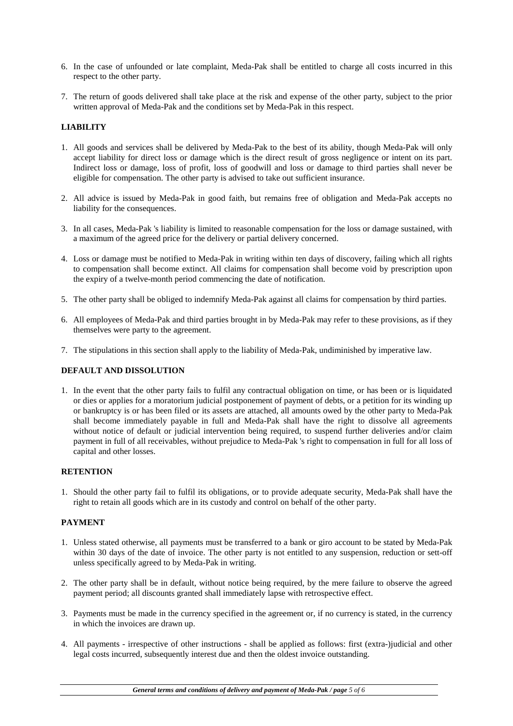- 6. In the case of unfounded or late complaint, Meda-Pak shall be entitled to charge all costs incurred in this respect to the other party.
- 7. The return of goods delivered shall take place at the risk and expense of the other party, subject to the prior written approval of Meda-Pak and the conditions set by Meda-Pak in this respect.

## **LIABILITY**

- 1. All goods and services shall be delivered by Meda-Pak to the best of its ability, though Meda-Pak will only accept liability for direct loss or damage which is the direct result of gross negligence or intent on its part. Indirect loss or damage, loss of profit, loss of goodwill and loss or damage to third parties shall never be eligible for compensation. The other party is advised to take out sufficient insurance.
- 2. All advice is issued by Meda-Pak in good faith, but remains free of obligation and Meda-Pak accepts no liability for the consequences.
- 3. In all cases, Meda-Pak 's liability is limited to reasonable compensation for the loss or damage sustained, with a maximum of the agreed price for the delivery or partial delivery concerned.
- 4. Loss or damage must be notified to Meda-Pak in writing within ten days of discovery, failing which all rights to compensation shall become extinct. All claims for compensation shall become void by prescription upon the expiry of a twelve-month period commencing the date of notification.
- 5. The other party shall be obliged to indemnify Meda-Pak against all claims for compensation by third parties.
- 6. All employees of Meda-Pak and third parties brought in by Meda-Pak may refer to these provisions, as if they themselves were party to the agreement.
- 7. The stipulations in this section shall apply to the liability of Meda-Pak, undiminished by imperative law.

## **DEFAULT AND DISSOLUTION**

1. In the event that the other party fails to fulfil any contractual obligation on time, or has been or is liquidated or dies or applies for a moratorium judicial postponement of payment of debts, or a petition for its winding up or bankruptcy is or has been filed or its assets are attached, all amounts owed by the other party to Meda-Pak shall become immediately payable in full and Meda-Pak shall have the right to dissolve all agreements without notice of default or judicial intervention being required, to suspend further deliveries and/or claim payment in full of all receivables, without prejudice to Meda-Pak 's right to compensation in full for all loss of capital and other losses.

## **RETENTION**

1. Should the other party fail to fulfil its obligations, or to provide adequate security, Meda-Pak shall have the right to retain all goods which are in its custody and control on behalf of the other party.

## **PAYMENT**

- 1. Unless stated otherwise, all payments must be transferred to a bank or giro account to be stated by Meda-Pak within 30 days of the date of invoice. The other party is not entitled to any suspension, reduction or sett-off unless specifically agreed to by Meda-Pak in writing.
- 2. The other party shall be in default, without notice being required, by the mere failure to observe the agreed payment period; all discounts granted shall immediately lapse with retrospective effect.
- 3. Payments must be made in the currency specified in the agreement or, if no currency is stated, in the currency in which the invoices are drawn up.
- 4. All payments irrespective of other instructions shall be applied as follows: first (extra-)judicial and other legal costs incurred, subsequently interest due and then the oldest invoice outstanding.